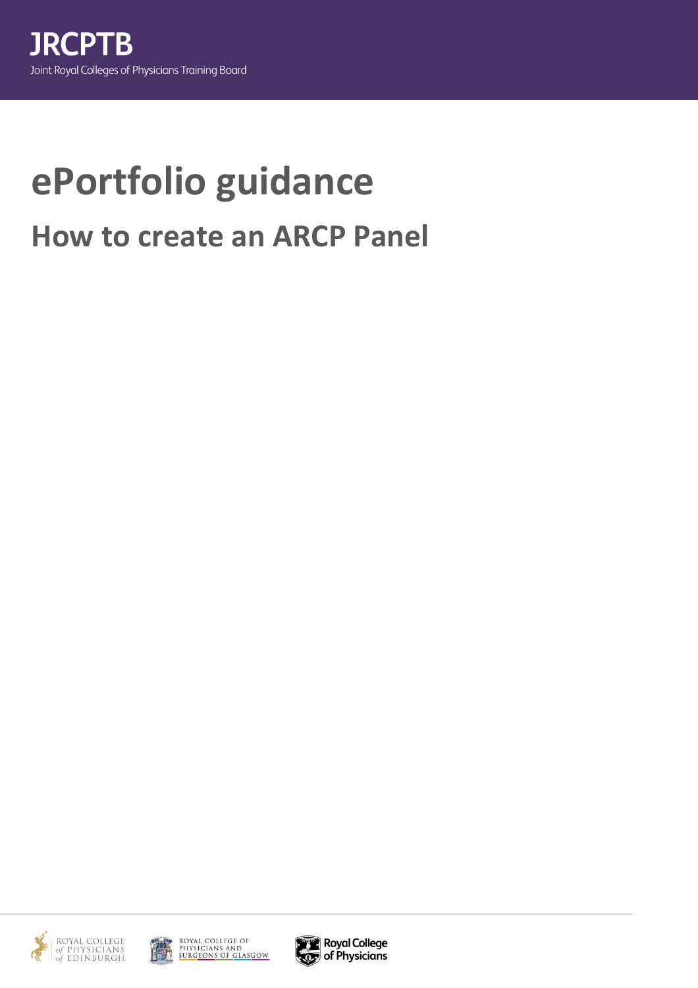# **ePortfolio guidance How to create an ARCP Panel**





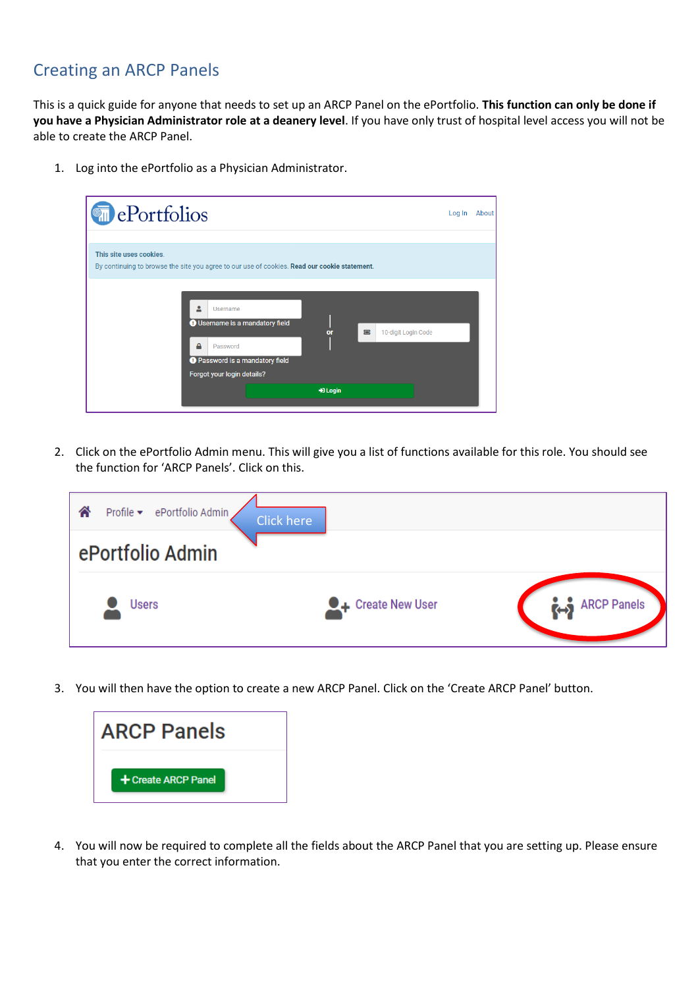## Creating an ARCP Panels

This is a quick guide for anyone that needs to set up an ARCP Panel on the ePortfolio. **This function can only be done if you have a Physician Administrator role at a deanery level**. If you have only trust of hospital level access you will not be able to create the ARCP Panel.

1. Log into the ePortfolio as a Physician Administrator.

| <b>D</b> ePortfolios                                                                                                    | Log In | About |
|-------------------------------------------------------------------------------------------------------------------------|--------|-------|
| This site uses cookies.<br>By continuing to browse the site you agree to our use of cookies. Read our cookie statement. |        |       |
| Username<br><b>O</b> Username is a mandatory field                                                                      |        |       |
| 10-digit Login Code<br>$\Xi$<br>or<br>Password<br><b>O</b> Password is a mandatory field                                |        |       |
| Forgot your login details?<br>$+3$ Login                                                                                |        |       |

2. Click on the ePortfolio Admin menu. This will give you a list of functions available for this role. You should see the function for 'ARCP Panels'. Click on this.

| 솕<br>Profile ▼ ePortfolio Admin<br>ePortfolio Admin | <b>Click here</b>          |                   |
|-----------------------------------------------------|----------------------------|-------------------|
| <b>Users</b>                                        | <b>Q</b> + Create New User | <b>REP Panels</b> |

3. You will then have the option to create a new ARCP Panel. Click on the 'Create ARCP Panel' button.



4. You will now be required to complete all the fields about the ARCP Panel that you are setting up. Please ensure that you enter the correct information.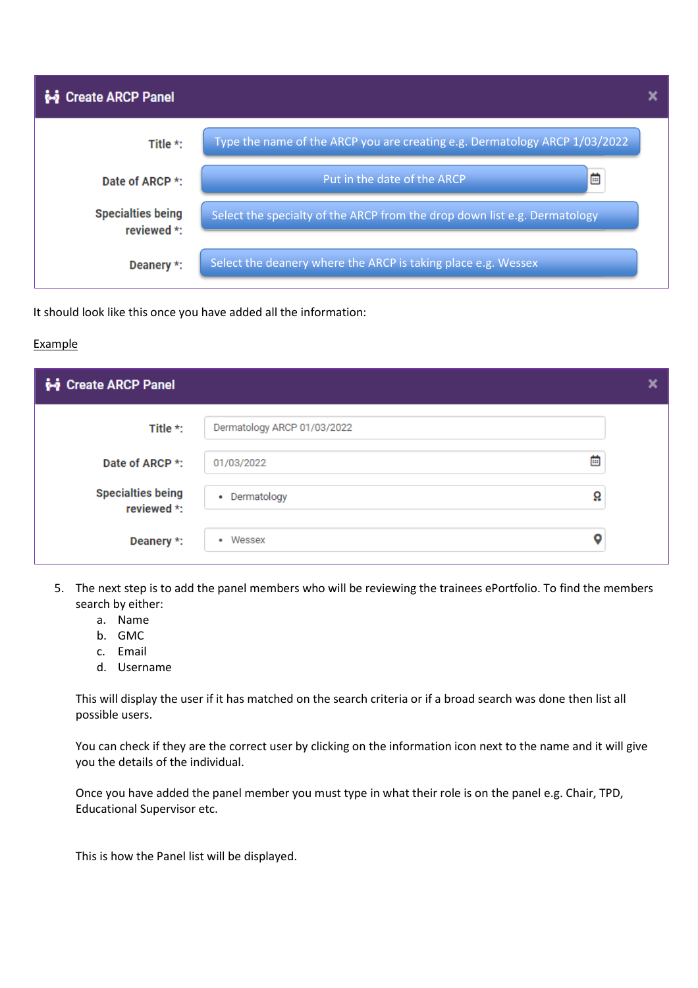

It should look like this once you have added all the information:

#### Example

| <b>i-i</b> Create ARCP Panel            |                             | × |
|-----------------------------------------|-----------------------------|---|
| Title $\star$ :                         | Dermatology ARCP 01/03/2022 |   |
| Date of ARCP *:                         | 茴<br>01/03/2022             |   |
| <b>Specialties being</b><br>reviewed *: | Ω<br>• Dermatology          |   |
| Deanery *:                              | o<br>• Wessex               |   |

- 5. The next step is to add the panel members who will be reviewing the trainees ePortfolio. To find the members search by either:
	- a. Name
	- b. GMC
	- c. Email
	- d. Username

This will display the user if it has matched on the search criteria or if a broad search was done then list all possible users.

You can check if they are the correct user by clicking on the information icon next to the name and it will give you the details of the individual.

Once you have added the panel member you must type in what their role is on the panel e.g. Chair, TPD, Educational Supervisor etc.

This is how the Panel list will be displayed.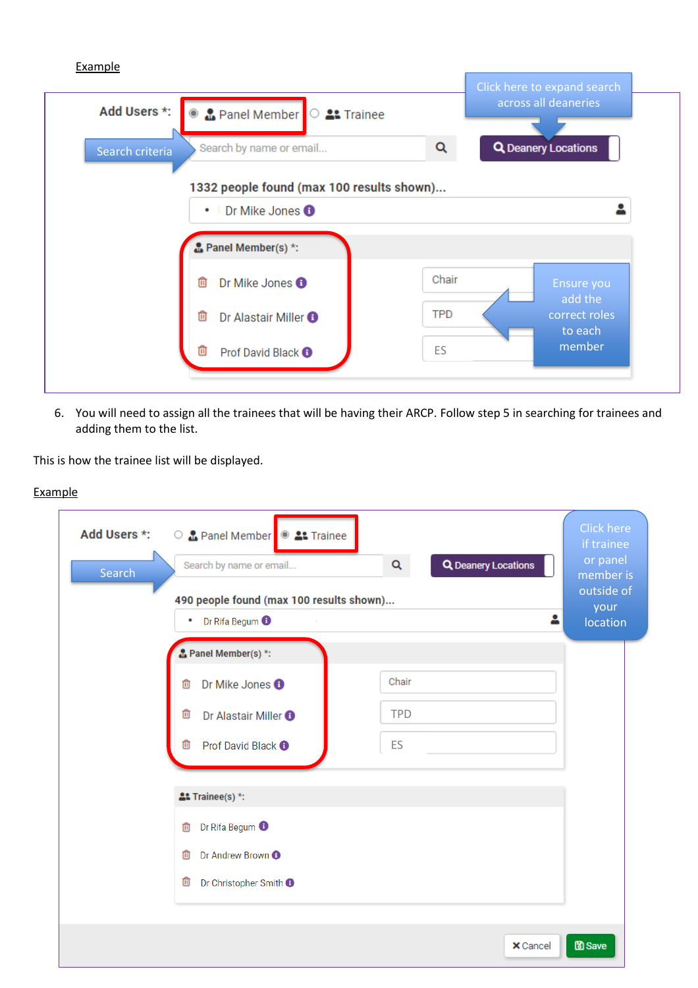#### **Example**



6. You will need to assign all the trainees that will be having their ARCP. Follow step 5 in searching for trainees and adding them to the list.

This is how the trainee list will be displayed.

#### **Example**

| Add Users *:<br>○ <mark>A</mark> Panel Member <sup>●</sup> 21 Trainee<br>Search by name or email<br>Search<br>490 people found (max 100 results shown) | Q Deanery Locations<br>Q | <b>Click here</b><br>if trainee<br>or panel<br>member is<br>outside of |
|--------------------------------------------------------------------------------------------------------------------------------------------------------|--------------------------|------------------------------------------------------------------------|
| Dr Rifa Begum <sup>O</sup><br>٠                                                                                                                        |                          | your<br>location                                                       |
| Panel Member(s) *:                                                                                                                                     |                          |                                                                        |
| Dr Mike Jones <sup>O</sup><br>侖                                                                                                                        | Chair                    |                                                                        |
| 面<br>Dr Alastair Miller <sup>6</sup>                                                                                                                   | <b>TPD</b>               |                                                                        |
| Prof David Black <sup>O</sup><br>侖                                                                                                                     | ES                       |                                                                        |
|                                                                                                                                                        |                          |                                                                        |
| <b>At Trainee(s) *:</b>                                                                                                                                |                          |                                                                        |
| Dr Rifa Begum <sup>6</sup><br>侖                                                                                                                        |                          |                                                                        |
| Dr Andrew Brown <sup>6</sup><br>m                                                                                                                      |                          |                                                                        |
| Dr Christopher Smith <sup>6</sup><br>面                                                                                                                 |                          |                                                                        |
|                                                                                                                                                        |                          |                                                                        |
|                                                                                                                                                        |                          |                                                                        |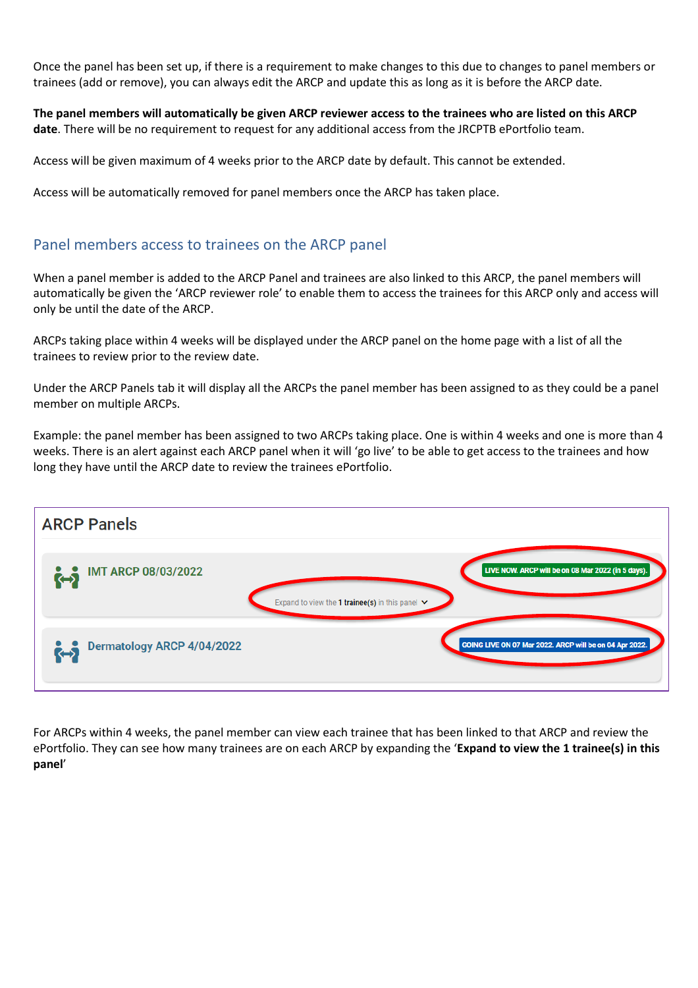Once the panel has been set up, if there is a requirement to make changes to this due to changes to panel members or trainees (add or remove), you can always edit the ARCP and update this as long as it is before the ARCP date.

**The panel members will automatically be given ARCP reviewer access to the trainees who are listed on this ARCP date**. There will be no requirement to request for any additional access from the JRCPTB ePortfolio team.

Access will be given maximum of 4 weeks prior to the ARCP date by default. This cannot be extended.

Access will be automatically removed for panel members once the ARCP has taken place.

### Panel members access to trainees on the ARCP panel

When a panel member is added to the ARCP Panel and trainees are also linked to this ARCP, the panel members will automatically be given the 'ARCP reviewer role' to enable them to access the trainees for this ARCP only and access will only be until the date of the ARCP.

ARCPs taking place within 4 weeks will be displayed under the ARCP panel on the home page with a list of all the trainees to review prior to the review date.

Under the ARCP Panels tab it will display all the ARCPs the panel member has been assigned to as they could be a panel member on multiple ARCPs.

Example: the panel member has been assigned to two ARCPs taking place. One is within 4 weeks and one is more than 4 weeks. There is an alert against each ARCP panel when it will 'go live' to be able to get access to the trainees and how long they have until the ARCP date to review the trainees ePortfolio.

| <b>ARCP Panels</b>                |                                                                                                            |
|-----------------------------------|------------------------------------------------------------------------------------------------------------|
| <b>IMT ARCP 08/03/2022</b><br>⊶ั  | LIVE NOW. ARCP will be on 08 Mar 2022 (in 5 days).<br>Expand to view the 1 trainee(s) in this panel $\vee$ |
| Dermatology ARCP 4/04/2022<br>t⊶i | GOING LIVE ON 07 Mar 2022. ARCP will be on 04 Apr 2022.                                                    |

For ARCPs within 4 weeks, the panel member can view each trainee that has been linked to that ARCP and review the ePortfolio. They can see how many trainees are on each ARCP by expanding the '**Expand to view the 1 trainee(s) in this panel**'